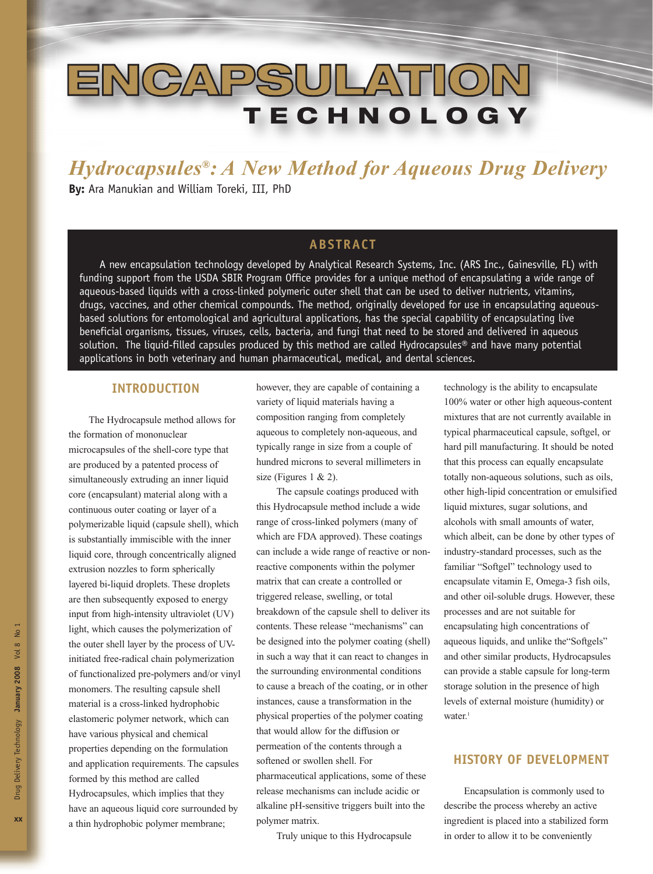# **ENCAPSULATION TECH NOL OGY**

*Hydrocapsules®: A New Method for Aqueous Drug Delivery*  **By:** Ara Manukian and William Toreki, III, PhD

# **ABSTRACT**

A new encapsulation technology developed by Analytical Research Systems, Inc. (ARS Inc., Gainesville, FL) with funding support from the USDA SBIR Program Office provides for a unique method of encapsulating a wide range of aqueous-based liquids with a cross-linked polymeric outer shell that can be used to deliver nutrients, vitamins, drugs, vaccines, and other chemical compounds. The method, originally developed for use in encapsulating aqueousbased solutions for entomological and agricultural applications, has the special capability of encapsulating live beneficial organisms, tissues, viruses, cells, bacteria, and fungi that need to be stored and delivered in aqueous solution. The liquid-filled capsules produced by this method are called Hydrocapsules® and have many potential applications in both veterinary and human pharmaceutical, medical, and dental sciences.

#### **INTRODUCTION**

The Hydrocapsule method allows for the formation of mononuclear microcapsules of the shell-core type that are produced by a patented process of simultaneously extruding an inner liquid core (encapsulant) material along with a continuous outer coating or layer of a polymerizable liquid (capsule shell), which is substantially immiscible with the inner liquid core, through concentrically aligned extrusion nozzles to form spherically layered bi-liquid droplets. These droplets are then subsequently exposed to energy input from high-intensity ultraviolet (UV) light, which causes the polymerization of the outer shell layer by the process of UVinitiated free-radical chain polymerization of functionalized pre-polymers and/or vinyl monomers. The resulting capsule shell material is a cross-linked hydrophobic elastomeric polymer network, which can have various physical and chemical properties depending on the formulation and application requirements. The capsules formed by this method are called Hydrocapsules, which implies that they have an aqueous liquid core surrounded by a thin hydrophobic polymer membrane;

however, they are capable of containing a variety of liquid materials having a composition ranging from completely aqueous to completely non-aqueous, and typically range in size from a couple of hundred microns to several millimeters in size (Figures  $1 \& 2$ ).

The capsule coatings produced with this Hydrocapsule method include a wide range of cross-linked polymers (many of which are FDA approved). These coatings can include a wide range of reactive or nonreactive components within the polymer matrix that can create a controlled or triggered release, swelling, or total breakdown of the capsule shell to deliver its contents. These release "mechanisms" can be designed into the polymer coating (shell) in such a way that it can react to changes in the surrounding environmental conditions to cause a breach of the coating, or in other instances, cause a transformation in the physical properties of the polymer coating that would allow for the diffusion or permeation of the contents through a softened or swollen shell. For pharmaceutical applications, some of these release mechanisms can include acidic or alkaline pH-sensitive triggers built into the polymer matrix.

Truly unique to this Hydrocapsule

technology is the ability to encapsulate 100% water or other high aqueous-content mixtures that are not currently available in typical pharmaceutical capsule, softgel, or hard pill manufacturing. It should be noted that this process can equally encapsulate totally non-aqueous solutions, such as oils, other high-lipid concentration or emulsified liquid mixtures, sugar solutions, and alcohols with small amounts of water, which albeit, can be done by other types of industry-standard processes, such as the familiar "Softgel" technology used to encapsulate vitamin E, Omega-3 fish oils, and other oil-soluble drugs. However, these processes and are not suitable for encapsulating high concentrations of aqueous liquids, and unlike the"Softgels" and other similar products, Hydrocapsules can provide a stable capsule for long-term storage solution in the presence of high levels of external moisture (humidity) or water $1$ 

#### **HISTORY OF DEVELOPMENT**

Encapsulation is commonly used to describe the process whereby an active ingredient is placed into a stabilized form in order to allow it to be conveniently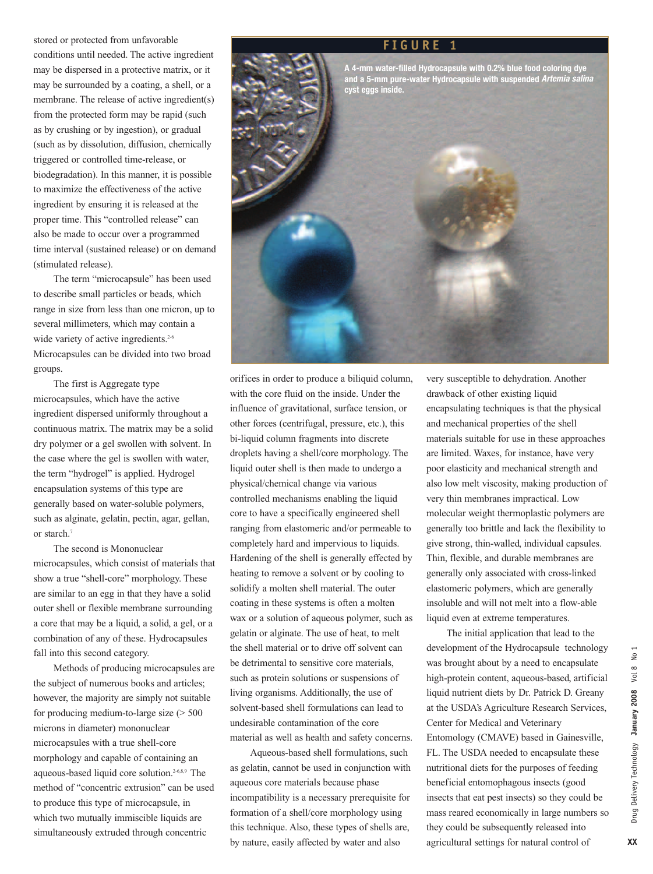stored or protected from unfavorable conditions until needed. The active ingredient may be dispersed in a protective matrix, or it may be surrounded by a coating, a shell, or a membrane. The release of active ingredient(s) from the protected form may be rapid (such as by crushing or by ingestion), or gradual (such as by dissolution, diffusion, chemically triggered or controlled time-release, or biodegradation). In this manner, it is possible to maximize the effectiveness of the active ingredient by ensuring it is released at the proper time. This "controlled release" can also be made to occur over a programmed time interval (sustained release) or on demand (stimulated release).

The term "microcapsule" has been used to describe small particles or beads, which range in size from less than one micron, up to several millimeters, which may contain a wide variety of active ingredients.<sup>2-6</sup> Microcapsules can be divided into two broad groups.

The first is Aggregate type microcapsules, which have the active ingredient dispersed uniformly throughout a continuous matrix. The matrix may be a solid dry polymer or a gel swollen with solvent. In the case where the gel is swollen with water, the term "hydrogel" is applied. Hydrogel encapsulation systems of this type are generally based on water-soluble polymers, such as alginate, gelatin, pectin, agar, gellan, or starch.7

The second is Mononuclear microcapsules, which consist of materials that show a true "shell-core" morphology. These are similar to an egg in that they have a solid outer shell or flexible membrane surrounding a core that may be a liquid, a solid, a gel, or a combination of any of these. Hydrocapsules fall into this second category.

Methods of producing microcapsules are the subject of numerous books and articles; however, the majority are simply not suitable for producing medium-to-large size  $($  > 500 microns in diameter) mononuclear microcapsules with a true shell-core morphology and capable of containing an aqueous-based liquid core solution.2-6,8,9 The method of "concentric extrusion" can be used to produce this type of microcapsule, in which two mutually immiscible liquids are simultaneously extruded through concentric



**FIGURE 1**

**A 4-mm water-filled Hydrocapsule with 0.2% blue food coloring dye and a 5-mm pure-water Hydrocapsule with suspended** *Artemia salina*

orifices in order to produce a biliquid column, with the core fluid on the inside. Under the influence of gravitational, surface tension, or other forces (centrifugal, pressure, etc.), this bi-liquid column fragments into discrete droplets having a shell/core morphology. The liquid outer shell is then made to undergo a physical/chemical change via various controlled mechanisms enabling the liquid core to have a specifically engineered shell ranging from elastomeric and/or permeable to completely hard and impervious to liquids. Hardening of the shell is generally effected by heating to remove a solvent or by cooling to solidify a molten shell material. The outer coating in these systems is often a molten wax or a solution of aqueous polymer, such as gelatin or alginate. The use of heat, to melt the shell material or to drive off solvent can be detrimental to sensitive core materials, such as protein solutions or suspensions of living organisms. Additionally, the use of solvent-based shell formulations can lead to undesirable contamination of the core material as well as health and safety concerns.

Aqueous-based shell formulations, such as gelatin, cannot be used in conjunction with aqueous core materials because phase incompatibility is a necessary prerequisite for formation of a shell/core morphology using this technique. Also, these types of shells are, by nature, easily affected by water and also

very susceptible to dehydration. Another drawback of other existing liquid encapsulating techniques is that the physical and mechanical properties of the shell materials suitable for use in these approaches are limited. Waxes, for instance, have very poor elasticity and mechanical strength and also low melt viscosity, making production of very thin membranes impractical. Low molecular weight thermoplastic polymers are generally too brittle and lack the flexibility to give strong, thin-walled, individual capsules. Thin, flexible, and durable membranes are generally only associated with cross-linked elastomeric polymers, which are generally insoluble and will not melt into a flow-able liquid even at extreme temperatures.

The initial application that lead to the development of the Hydrocapsule technology was brought about by a need to encapsulate high-protein content, aqueous-based, artificial liquid nutrient diets by Dr. Patrick D. Greany at the USDA's Agriculture Research Services, Center for Medical and Veterinary Entomology (CMAVE) based in Gainesville, FL. The USDA needed to encapsulate these nutritional diets for the purposes of feeding beneficial entomophagous insects (good insects that eat pest insects) so they could be mass reared economically in large numbers so they could be subsequently released into agricultural settings for natural control of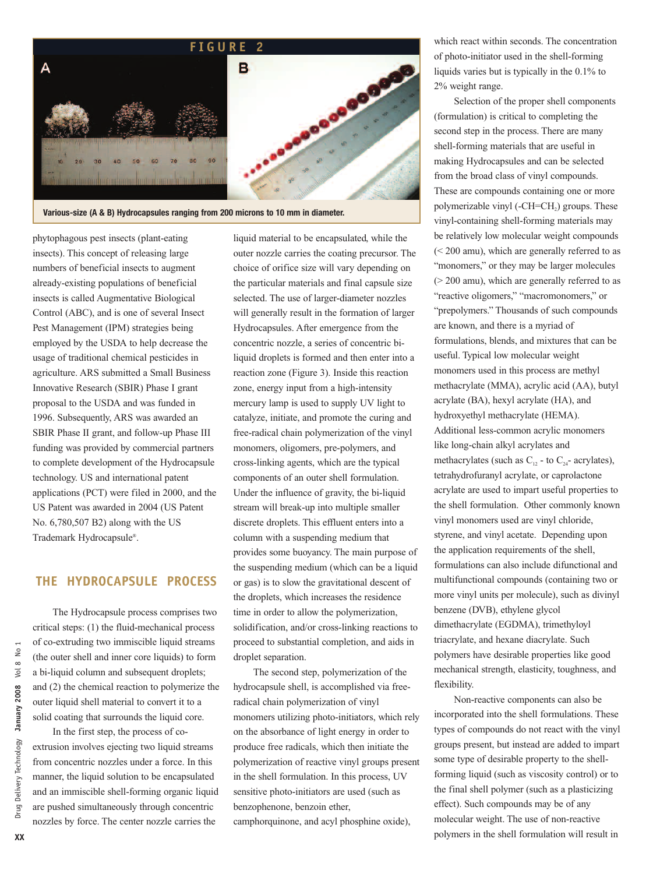

**Various-size (A & B) Hydrocapsules ranging from 200 microns to 10 mm in diameter.**

phytophagous pest insects (plant-eating insects). This concept of releasing large numbers of beneficial insects to augment already-existing populations of beneficial insects is called Augmentative Biological Control (ABC), and is one of several Insect Pest Management (IPM) strategies being employed by the USDA to help decrease the usage of traditional chemical pesticides in agriculture. ARS submitted a Small Business Innovative Research (SBIR) Phase I grant proposal to the USDA and was funded in 1996. Subsequently, ARS was awarded an SBIR Phase II grant, and follow-up Phase III funding was provided by commercial partners to complete development of the Hydrocapsule technology. US and international patent applications (PCT) were filed in 2000, and the US Patent was awarded in 2004 (US Patent No. 6,780,507 B2) along with the US Trademark Hydrocapsule®.

## **THE HYDROCAPSULE PROCESS**

The Hydrocapsule process comprises two critical steps: (1) the fluid-mechanical process of co-extruding two immiscible liquid streams (the outer shell and inner core liquids) to form a bi-liquid column and subsequent droplets; and (2) the chemical reaction to polymerize the outer liquid shell material to convert it to a solid coating that surrounds the liquid core.

In the first step, the process of coextrusion involves ejecting two liquid streams from concentric nozzles under a force. In this manner, the liquid solution to be encapsulated and an immiscible shell-forming organic liquid are pushed simultaneously through concentric nozzles by force. The center nozzle carries the

liquid material to be encapsulated, while the outer nozzle carries the coating precursor. The choice of orifice size will vary depending on the particular materials and final capsule size selected. The use of larger-diameter nozzles will generally result in the formation of larger Hydrocapsules. After emergence from the concentric nozzle, a series of concentric biliquid droplets is formed and then enter into a reaction zone (Figure 3). Inside this reaction zone, energy input from a high-intensity mercury lamp is used to supply UV light to catalyze, initiate, and promote the curing and free-radical chain polymerization of the vinyl monomers, oligomers, pre-polymers, and cross-linking agents, which are the typical components of an outer shell formulation. Under the influence of gravity, the bi-liquid stream will break-up into multiple smaller discrete droplets. This effluent enters into a column with a suspending medium that provides some buoyancy. The main purpose of the suspending medium (which can be a liquid or gas) is to slow the gravitational descent of the droplets, which increases the residence time in order to allow the polymerization, solidification, and/or cross-linking reactions to proceed to substantial completion, and aids in droplet separation.

The second step, polymerization of the hydrocapsule shell, is accomplished via freeradical chain polymerization of vinyl monomers utilizing photo-initiators, which rely on the absorbance of light energy in order to produce free radicals, which then initiate the polymerization of reactive vinyl groups present in the shell formulation. In this process, UV sensitive photo-initiators are used (such as benzophenone, benzoin ether, camphorquinone, and acyl phosphine oxide),

which react within seconds. The concentration of photo-initiator used in the shell-forming liquids varies but is typically in the 0.1% to 2% weight range.

Selection of the proper shell components (formulation) is critical to completing the second step in the process. There are many shell-forming materials that are useful in making Hydrocapsules and can be selected from the broad class of vinyl compounds. These are compounds containing one or more polymerizable vinyl (-CH=CH<sub>2</sub>) groups. These vinyl-containing shell-forming materials may be relatively low molecular weight compounds (< 200 amu), which are generally referred to as "monomers," or they may be larger molecules (> 200 amu), which are generally referred to as "reactive oligomers," "macromonomers," or "prepolymers." Thousands of such compounds are known, and there is a myriad of formulations, blends, and mixtures that can be useful. Typical low molecular weight monomers used in this process are methyl methacrylate (MMA), acrylic acid (AA), butyl acrylate (BA), hexyl acrylate (HA), and hydroxyethyl methacrylate (HEMA). Additional less-common acrylic monomers like long-chain alkyl acrylates and methacrylates (such as  $C_{12}$  - to  $C_{24}$ - acrylates), tetrahydrofuranyl acrylate, or caprolactone acrylate are used to impart useful properties to the shell formulation. Other commonly known vinyl monomers used are vinyl chloride, styrene, and vinyl acetate. Depending upon the application requirements of the shell, formulations can also include difunctional and multifunctional compounds (containing two or more vinyl units per molecule), such as divinyl benzene (DVB), ethylene glycol dimethacrylate (EGDMA), trimethyloyl triacrylate, and hexane diacrylate. Such polymers have desirable properties like good mechanical strength, elasticity, toughness, and flexibility.

Non-reactive components can also be incorporated into the shell formulations. These types of compounds do not react with the vinyl groups present, but instead are added to impart some type of desirable property to the shellforming liquid (such as viscosity control) or to the final shell polymer (such as a plasticizing effect). Such compounds may be of any molecular weight. The use of non-reactive polymers in the shell formulation will result in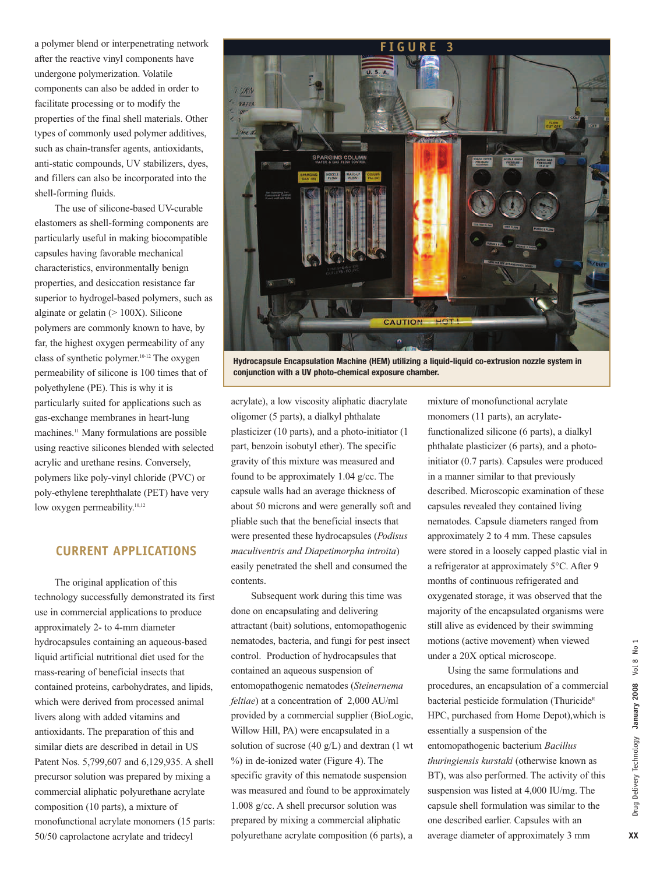a polymer blend or interpenetrating network after the reactive vinyl components have undergone polymerization. Volatile components can also be added in order to facilitate processing or to modify the properties of the final shell materials. Other types of commonly used polymer additives, such as chain-transfer agents, antioxidants, anti-static compounds, UV stabilizers, dyes, and fillers can also be incorporated into the shell-forming fluids.

The use of silicone-based UV-curable elastomers as shell-forming components are particularly useful in making biocompatible capsules having favorable mechanical characteristics, environmentally benign properties, and desiccation resistance far superior to hydrogel-based polymers, such as alginate or gelatin  $(>100X)$ . Silicone polymers are commonly known to have, by far, the highest oxygen permeability of any class of synthetic polymer.10-12 The oxygen permeability of silicone is 100 times that of polyethylene (PE). This is why it is particularly suited for applications such as gas-exchange membranes in heart-lung machines.<sup>11</sup> Many formulations are possible using reactive silicones blended with selected acrylic and urethane resins. Conversely, polymers like poly-vinyl chloride (PVC) or poly-ethylene terephthalate (PET) have very low oxygen permeability.<sup>10,12</sup>

#### **CURRENT APPLICATIONS**

The original application of this technology successfully demonstrated its first use in commercial applications to produce approximately 2- to 4-mm diameter hydrocapsules containing an aqueous-based liquid artificial nutritional diet used for the mass-rearing of beneficial insects that contained proteins, carbohydrates, and lipids, which were derived from processed animal livers along with added vitamins and antioxidants. The preparation of this and similar diets are described in detail in US Patent Nos. 5,799,607 and 6,129,935. A shell precursor solution was prepared by mixing a commercial aliphatic polyurethane acrylate composition (10 parts), a mixture of monofunctional acrylate monomers (15 parts: 50/50 caprolactone acrylate and tridecyl



**Hydrocapsule Encapsulation Machine (HEM) utilizing a liquid-liquid co-extrusion nozzle system in conjunction with a UV photo-chemical exposure chamber.**

acrylate), a low viscosity aliphatic diacrylate oligomer (5 parts), a dialkyl phthalate plasticizer (10 parts), and a photo-initiator (1 part, benzoin isobutyl ether). The specific gravity of this mixture was measured and found to be approximately 1.04 g/cc. The capsule walls had an average thickness of about 50 microns and were generally soft and pliable such that the beneficial insects that were presented these hydrocapsules (*Podisus maculiventris and Diapetimorpha introita*) easily penetrated the shell and consumed the contents.

Subsequent work during this time was done on encapsulating and delivering attractant (bait) solutions, entomopathogenic nematodes, bacteria, and fungi for pest insect control. Production of hydrocapsules that contained an aqueous suspension of entomopathogenic nematodes (*Steinernema feltiae*) at a concentration of 2,000 AU/ml provided by a commercial supplier (BioLogic, Willow Hill, PA) were encapsulated in a solution of sucrose (40 g/L) and dextran (1 wt %) in de-ionized water (Figure 4). The specific gravity of this nematode suspension was measured and found to be approximately 1.008 g/cc. A shell precursor solution was prepared by mixing a commercial aliphatic polyurethane acrylate composition (6 parts), a

mixture of monofunctional acrylate monomers (11 parts), an acrylatefunctionalized silicone (6 parts), a dialkyl phthalate plasticizer (6 parts), and a photoinitiator (0.7 parts). Capsules were produced in a manner similar to that previously described. Microscopic examination of these capsules revealed they contained living nematodes. Capsule diameters ranged from approximately 2 to 4 mm. These capsules were stored in a loosely capped plastic vial in a refrigerator at approximately 5°C. After 9 months of continuous refrigerated and oxygenated storage, it was observed that the majority of the encapsulated organisms were still alive as evidenced by their swimming motions (active movement) when viewed under a 20X optical microscope.

Using the same formulations and procedures, an encapsulation of a commercial bacterial pesticide formulation (Thuricide<sup>R</sup> HPC, purchased from Home Depot),which is essentially a suspension of the entomopathogenic bacterium *Bacillus thuringiensis kurstaki* (otherwise known as BT), was also performed. The activity of this suspension was listed at 4,000 IU/mg. The capsule shell formulation was similar to the one described earlier. Capsules with an average diameter of approximately 3 mm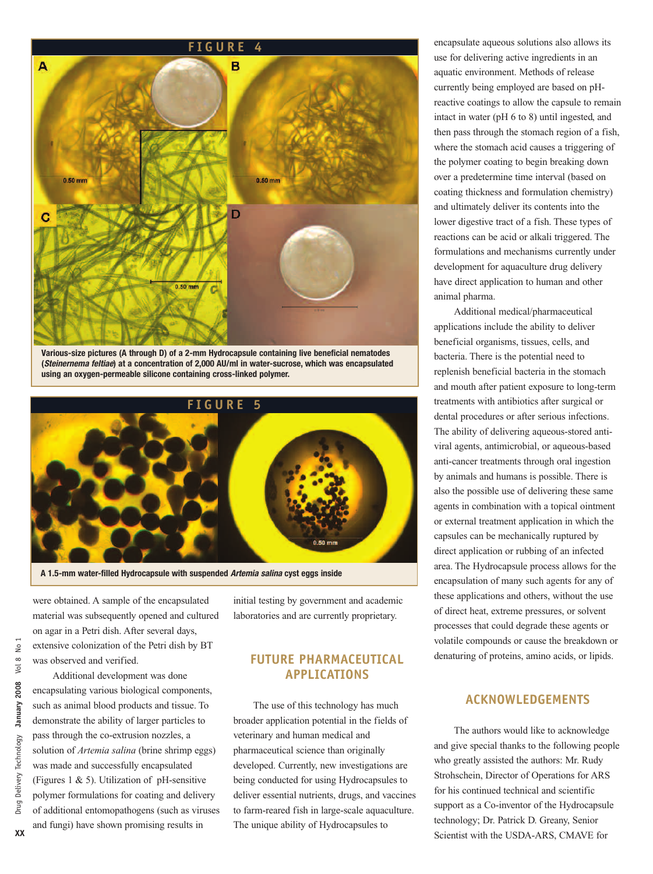

**Various-size pictures (A through D) of a 2-mm Hydrocapsule containing live beneficial nematodes (***Steinernema feltiae***) at a concentration of 2,000 AU/ml in water-sucrose, which was encapsulated using an oxygen-permeable silicone containing cross-linked polymer.**



**A 1.5-mm water-filled Hydrocapsule with suspended** *Artemia salina* **cyst eggs inside** 

were obtained. A sample of the encapsulated material was subsequently opened and cultured on agar in a Petri dish. After several days, extensive colonization of the Petri dish by BT was observed and verified.

Additional development was done encapsulating various biological components, such as animal blood products and tissue. To demonstrate the ability of larger particles to pass through the co-extrusion nozzles, a solution of *Artemia salina* (brine shrimp eggs) was made and successfully encapsulated (Figures 1  $\&$  5). Utilization of pH-sensitive polymer formulations for coating and delivery of additional entomopathogens (such as viruses and fungi) have shown promising results in

initial testing by government and academic laboratories and are currently proprietary.

### **FUTURE PHARMACEUTICAL APPLICATIONS**

The use of this technology has much broader application potential in the fields of veterinary and human medical and pharmaceutical science than originally developed. Currently, new investigations are being conducted for using Hydrocapsules to deliver essential nutrients, drugs, and vaccines to farm-reared fish in large-scale aquaculture. The unique ability of Hydrocapsules to

encapsulate aqueous solutions also allows its use for delivering active ingredients in an aquatic environment. Methods of release currently being employed are based on pHreactive coatings to allow the capsule to remain intact in water (pH 6 to 8) until ingested, and then pass through the stomach region of a fish, where the stomach acid causes a triggering of the polymer coating to begin breaking down over a predetermine time interval (based on coating thickness and formulation chemistry) and ultimately deliver its contents into the lower digestive tract of a fish. These types of reactions can be acid or alkali triggered. The formulations and mechanisms currently under development for aquaculture drug delivery have direct application to human and other animal pharma.

Additional medical/pharmaceutical applications include the ability to deliver beneficial organisms, tissues, cells, and bacteria. There is the potential need to replenish beneficial bacteria in the stomach and mouth after patient exposure to long-term treatments with antibiotics after surgical or dental procedures or after serious infections. The ability of delivering aqueous-stored antiviral agents, antimicrobial, or aqueous-based anti-cancer treatments through oral ingestion by animals and humans is possible. There is also the possible use of delivering these same agents in combination with a topical ointment or external treatment application in which the capsules can be mechanically ruptured by direct application or rubbing of an infected area. The Hydrocapsule process allows for the encapsulation of many such agents for any of these applications and others, without the use of direct heat, extreme pressures, or solvent processes that could degrade these agents or volatile compounds or cause the breakdown or denaturing of proteins, amino acids, or lipids.

#### **ACKNOWLEDGEMENTS**

The authors would like to acknowledge and give special thanks to the following people who greatly assisted the authors: Mr. Rudy Strohschein, Director of Operations for ARS for his continued technical and scientific support as a Co-inventor of the Hydrocapsule technology; Dr. Patrick D. Greany, Senior Scientist with the USDA-ARS, CMAVE for

 $\frac{1}{2}$